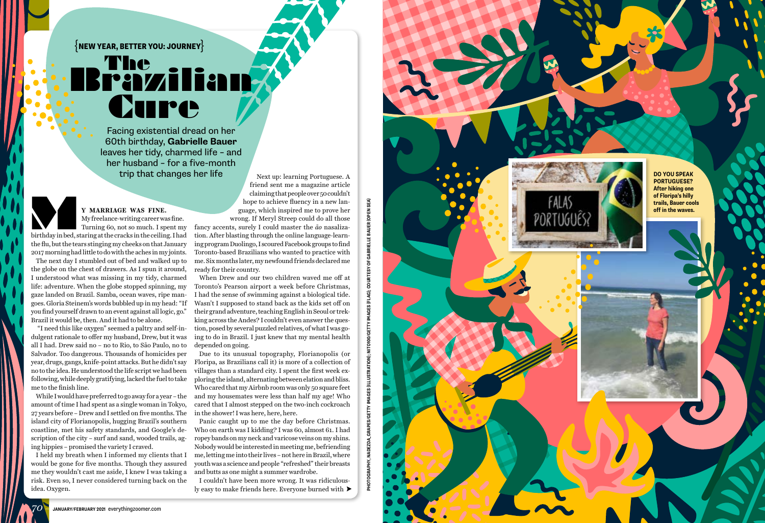**Y MARRIAGE WAS FINE.** My freelance-writing career was fine. Turning 60, not so much. I spent my Y MARRIAGE WAS FINE.<br>My freelance-writing career was fine.<br>Turning 60, not so much. I spent my<br>birthday in bed, staring at the cracks in the ceiling. I had the flu, but the tears stinging my cheeks on that January

2017 morning had little to do with the aches in my joints. The next day I stumbled out of bed and walked up to the globe on the chest of drawers. As I spun it around, I understood what was missing in my tidy, charmed life: adventure. When the globe stopped spinning, my gaze landed on Brazil. Samba, ocean waves, ripe man goes. Gloria Steinem's words bubbled up in my head: "If you find yourself drawn to an event against all logic, go." Brazil it would be, then. And it had to be alone.

 "I need this like oxygen" seemed a paltry and self-in dulgent rationale to offer my husband, Drew, but it was all I had. Drew said no – no to Rio, to São Paulo, no to Salvador. Too dangerous. Thousands of homicides per year, drugs, gangs, knife-point attacks. But he didn't say no to the idea. He understood the life script we had been following, while deeply gratifying, lacked the fuel to take me to the finish line.

While I would have preferred to go away for a year – the amount of time I had spent as a single woman in Tokyo, 27 years before – Drew and I settled on five months. The island city of Florianopolis, hugging Brazil's southern coastline, met his safety standards, and Google's de scription of the city – surf and sand, wooded trails, ag ing hippies – promised the variety I craved.

I held my breath when I informed my clients that I would be gone for five months. Though they assured me they wouldn't cast me aside, I knew I was taking a risk. Even so, I never considered turning back on the idea. Oxygen.

Next up: learning Portuguese. A friend sent me a magazine article claiming that people over 50 couldn't

 $\left\{\mathsf{NEW} \ \mathsf{YEAR}, \mathsf{BERTER} \ \mathsf{YOU} \mathsf{:JOURNEY} \right\}$ 

## Cure The<br>Pavzilia

hope to achieve fluency in a new lan guage, which inspired me to prove her wrong. If Meryl Streep could do all those fancy accents, surely I could master the *ão* nasaliza tion. After blasting through the online language-learn ing program Duolingo, I scoured Facebook groups to find Toronto-based Brazilians who wanted to practice with me. Six months later, my newfound friends declared me ready for their country.

When Drew and our two children waved me off at Toronto's Pearson airport a week before Christmas, I had the sense of swimming against a biological tide. Wasn't I supposed to stand back as the kids set off on their grand adventure, teaching English in Seoul or trek king across the Andes? I couldn't even answer the ques tion, posed by several puzzled relatives, of what I was go ing to do in Brazil. I just knew that my mental health depended on going.

Due to its unusual topography, Florianopolis (or Floripa, as Brazilians call it) is more of a collection of villages than a standard city. I spent the first week ex ploring the island, alternating between elation and bliss. Who cared that my Airbnb room was only 50 square feet and my housemates were less than half my age! Who cared that I almost stepped on the two-inch cockroach in the shower! I was here, here, here.

Panic caught up to me the day before Christmas. Who on earth was I kidding? I was 60, almost 61. I had ropey bands on my neck and varicose veins on my shins. Nobody would be interested in meeting me, befriending me, letting me into their lives – not here in Brazil, where youth was a science and people "refreshed" their breasts and butts as one might a summer wardrobe.

I couldn't have been more wrong. It was ridiculous ly easy to make friends here. Everyone burned with

**DO YOU SPEAK PORTUGUESE? After hiking one of Floripa's hilly trails, Bauer cools off in the waves.** 

Facing existential dread on her 60th birthday, **Gabrielle Bauer**  leaves her tidy, charmed life – and her husband – for a five-month trip that changes her life

*70*

**PHOTOGRAPHY, NADEZDA\_GRAPES/GETTY IMAGES (ILLUSTRATION); NITO100/GETTY IMAGES (FLAG); COURTESY OF GABRIELLE BAUER (OPEN SEA)**

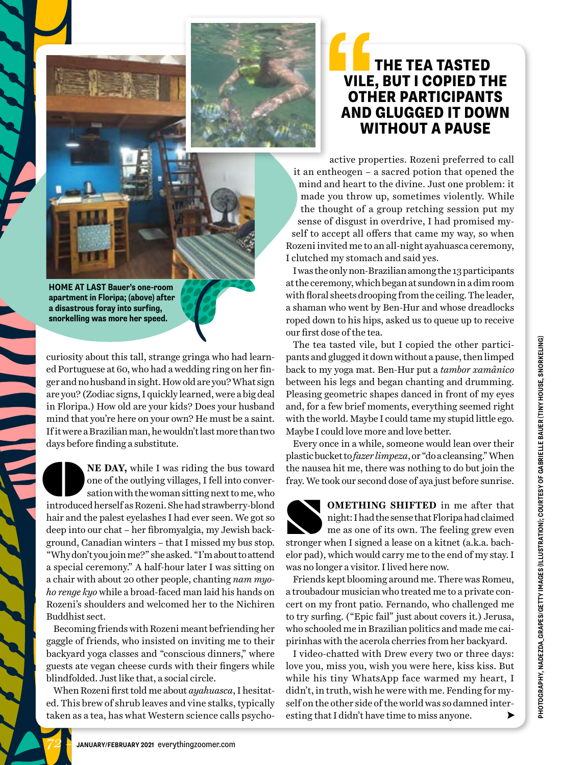

## THE TEA TASTED VILE, BUT I COPIED THE OTHER PARTICIPANTS AND GLUGGED IT DOWN WITHOUT A PAUSE **SPONDED**<br> **SPOND**<br>
AND<br>
W

active properties. Rozeni preferred to call it an entheogen – a sacred potion that opened the mind and heart to the divine. Just one problem: it made you throw up, sometimes violently. While the thought of a group retching session put my sense of disgust in overdrive, I had promised myself to accept all offers that came my way, so when Rozeni invited me to an all-night ayahuasca ceremony, I clutched my stomach and said yes.

I was the only non-Brazilian among the 13 participants at the ceremony, which began at sundown in a dim room with floral sheets drooping from the ceiling. The leader, a shaman who went by Ben-Hur and whose dreadlocks roped down to his hips, asked us to queue up to receive our first dose of the tea.

The tea tasted vile, but I copied the other participants and glugged it down without a pause, then limped back to my yoga mat. Ben-Hur put a *tambor xamânico* between his legs and began chanting and drumming. Pleasing geometric shapes danced in front of my eyes and, for a few brief moments, everything seemed right with the world. Maybe I could tame my stupid little ego. Maybe I could love more and love better.

Every once in a while, someone would lean over their plastic bucket to *fazer limpeza*, or "do a cleansing." When the nausea hit me, there was nothing to do but join the fray. We took our second dose of aya just before sunrise.

**OMETHING SHIFTED** in me after that night: I had the sense that Floripa had claimed me as one of its own. The feeling grew even **SHIFTED** in me after that night: I had the sense that Floripa had claimed me as one of its own. The feeling grew even stronger when I signed a lease on a kitnet (a.k.a. bachelor pad), which would carry me to the end of my stay. I was no longer a visitor. I lived here now.

Friends kept blooming around me. There was Romeu, a troubadour musician who treated me to a private concert on my front patio. Fernando, who challenged me to try surfing. ("Epic fail" just about covers it.) Jerusa, who schooled me in Brazilian politics and made me caipirinhas with the acerola cherries from her backyard.

I video-chatted with Drew every two or three days: love you, miss you, wish you were here, kiss kiss. But while his tiny WhatsApp face warmed my heart, I didn't, in truth, wish he were with me. Fending for myself on the other side of the world was so damned interesting that I didn't have time to miss anyone.

**HOME AT LAST Bauer's one-room apartment in Floripa; (above) after a disastrous foray into surfing, snorkelling was more her speed.**

É

curiosity about this tall, strange gringa who had learned Portuguese at 60, who had a wedding ring on her finger and no husband in sight. How old are you? What sign are you? (Zodiac signs, I quickly learned, were a big deal in Floripa.) How old are your kids? Does your husband mind that you're here on your own? He must be a saint. If it were a Brazilian man, he wouldn't last more than two days before finding a substitute.

**NE DAY,** while I was riding the bus toward one of the outlying villages, I fell into conversation with the woman sitting next to me, who NE DAY, while I was riding the bus toward<br>one of the outlying villages, I fell into conversation with the woman sitting next to me, who<br>introduced herself as Rozeni. She had strawberry-blond hair and the palest eyelashes I had ever seen. We got so deep into our chat – her fibromyalgia, my Jewish background, Canadian winters – that I missed my bus stop. "Why don't you join me?" she asked. "I'm about to attend a special ceremony." A half-hour later I was sitting on a chair with about 20 other people, chanting *nam myoho renge kyo* while a broad-faced man laid his hands on Rozeni's shoulders and welcomed her to the Nichiren Buddhist sect.

Becoming friends with Rozeni meant befriending her gaggle of friends, who insisted on inviting me to their backyard yoga classes and "conscious dinners," where guests ate vegan cheese curds with their fingers while blindfolded. Just like that, a social circle.

When Rozeni first told me about *ayahuasca*, I hesitated. This brew of shrub leaves and vine stalks, typically taken as a tea, has what Western science calls psycho-